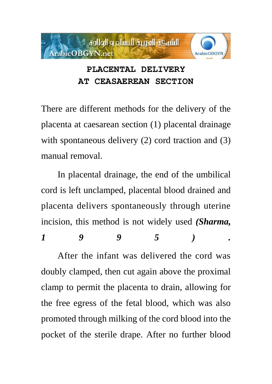

# **PLACENTAL DELIVERY AT CEASAEREAN SECTION**

There are different methods for the delivery of the placenta at caesarean section (1) placental drainage with spontaneous delivery (2) cord traction and (3) manual removal.

In placental drainage, the end of the umbilical cord is left unclamped, placental blood drained and placenta delivers spontaneously through uterine incision, this method is not widely used *(Sharma, 1 9 9 5 ) .* 

After the infant was delivered the cord was doubly clamped, then cut again above the proximal clamp to permit the placenta to drain, allowing for the free egress of the fetal blood, which was also promoted through milking of the cord blood into the pocket of the sterile drape. After no further blood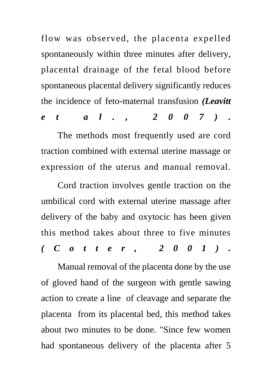flow was observed, the placenta expelled spontaneously within three minutes after delivery, placental drainage of the fetal blood before spontaneous placental delivery significantly reduces the incidence of feto-maternal transfusion *(Leavitt e t a l . , 2 0 0 7 ) .* 

The methods most frequently used are cord traction combined with external uterine massage or expression of the uterus and manual removal.

Cord traction involves gentle traction on the umbilical cord with external uterine massage after delivery of the baby and oxytocic has been given this method takes about three to five minutes *( C o t t e r , 2 0 0 1 ) .* 

Manual removal of the placenta done by the use of gloved hand of the surgeon with gentle sawing action to create a line of cleavage and separate the placenta from its placental bed, this method takes about two minutes to be done. "Since few women had spontaneous delivery of the placenta after 5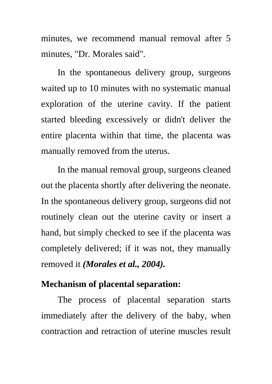minutes, we recommend manual removal after 5 minutes, "Dr. Morales said".

In the spontaneous delivery group, surgeons waited up to 10 minutes with no systematic manual exploration of the uterine cavity. If the patient started bleeding excessively or didn't deliver the entire placenta within that time, the placenta was manually removed from the uterus.

In the manual removal group, surgeons cleaned out the placenta shortly after delivering the neonate. In the spontaneous delivery group, surgeons did not routinely clean out the uterine cavity or insert a hand, but simply checked to see if the placenta was completely delivered; if it was not, they manually removed it *(Morales et al., 2004).*

# **Mechanism of placental separation:**

The process of placental separation starts immediately after the delivery of the baby, when contraction and retraction of uterine muscles result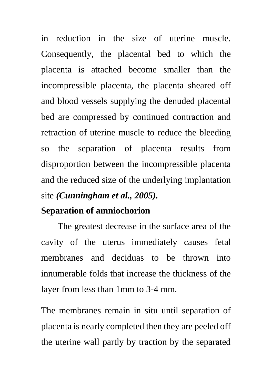in reduction in the size of uterine muscle. Consequently, the placental bed to which the placenta is attached become smaller than the incompressible placenta, the placenta sheared off and blood vessels supplying the denuded placental bed are compressed by continued contraction and retraction of uterine muscle to reduce the bleeding so the separation of placenta results from disproportion between the incompressible placenta and the reduced size of the underlying implantation site *(Cunningham et al., 2005).*

# **Separation of amniochorion**

The greatest decrease in the surface area of the cavity of the uterus immediately causes fetal membranes and deciduas to be thrown into innumerable folds that increase the thickness of the layer from less than 1mm to 3-4 mm.

The membranes remain in situ until separation of placenta is nearly completed then they are peeled off the uterine wall partly by traction by the separated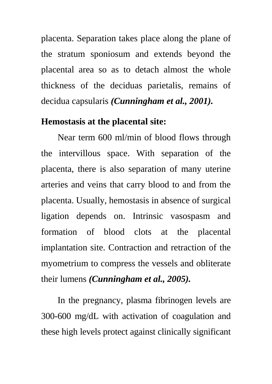placenta. Separation takes place along the plane of the stratum sponiosum and extends beyond the placental area so as to detach almost the whole thickness of the deciduas parietalis, remains of decidua capsularis *(Cunningham et al., 2001).* 

#### **Hemostasis at the placental site:**

Near term 600 ml/min of blood flows through the intervillous space. With separation of the placenta, there is also separation of many uterine arteries and veins that carry blood to and from the placenta. Usually, hemostasis in absence of surgical ligation depends on. Intrinsic vasospasm and formation of blood clots at the placental implantation site. Contraction and retraction of the myometrium to compress the vessels and obliterate their lumens *(Cunningham et al., 2005).*

In the pregnancy, plasma fibrinogen levels are 300-600 mg/dL with activation of coagulation and these high levels protect against clinically significant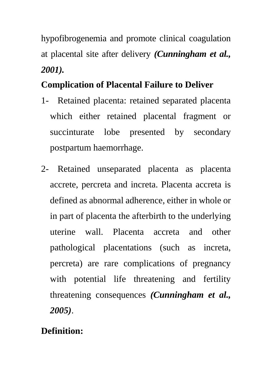hypofibrogenemia and promote clinical coagulation at placental site after delivery *(Cunningham et al., 2001).*

# **Complication of Placental Failure to Deliver**

- 1- Retained placenta: retained separated placenta which either retained placental fragment or succinturate lobe presented by secondary postpartum haemorrhage.
- 2- Retained unseparated placenta as placenta accrete, percreta and increta. Placenta accreta is defined as abnormal adherence, either in whole or in part of placenta the afterbirth to the underlying uterine wall. Placenta accreta and other pathological placentations (such as increta, percreta) are rare complications of pregnancy with potential life threatening and fertility threatening consequences *(Cunningham et al., 2005)*.

# **Definition:**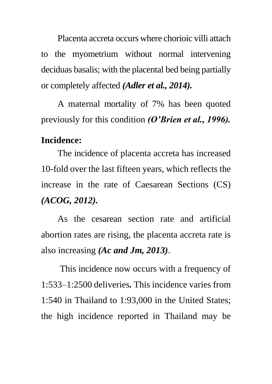Placenta accreta occurs where chorioic villi attach to the myometrium without normal intervening deciduas basalis; with the placental bed being partially or completely affected *(Adler et al., 2014).*

A maternal mortality of 7% has been quoted previously for this condition *(O'Brien et al., 1996).*

#### **Incidence:**

The incidence of placenta accreta has increased 10-fold over the last fifteen years, which reflects the increase in the rate of Caesarean Sections (CS) *(ACOG, 2012).*

As the cesarean section rate and artificial abortion rates are rising, the placenta accreta rate is also increasing *(Ac and Jm, 2013)*.

This incidence now occurs with a frequency of 1:533–1:2500 deliveries*.* This incidence varies from 1:540 in Thailand to 1:93,000 in the United States; the high incidence reported in Thailand may be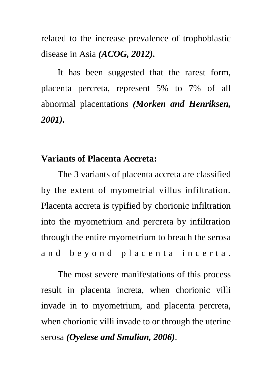related to the increase prevalence of trophoblastic disease in Asia *(ACOG, 2012).*

It has been suggested that the rarest form, placenta percreta, represent 5% to 7% of all abnormal placentations *(Morken and Henriksen, 2001).*

#### **Variants of Placenta Accreta:**

The 3 variants of placenta accreta are classified by the extent of myometrial villus infiltration. Placenta accreta is typified by chorionic infiltration into the myometrium and percreta by infiltration through the entire myometrium to breach the serosa and beyond placenta incerta.

The most severe manifestations of this process result in placenta increta, when chorionic villi invade in to myometrium, and placenta percreta, when chorionic villi invade to or through the uterine serosa *(Oyelese and Smulian, 2006)*.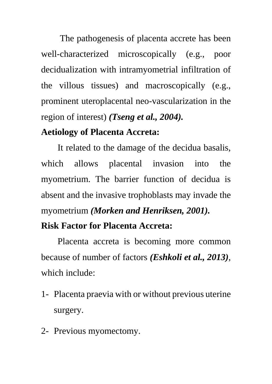The pathogenesis of placenta accrete has been well-characterized microscopically (e.g., poor decidualization with intramyometrial infiltration of the villous tissues) and macroscopically (e.g., prominent uteroplacental neo-vascularization in the region of interest) *(Tseng et al., 2004).*

# **Aetiology of Placenta Accreta:**

It related to the damage of the decidua basalis, which allows placental invasion into the myometrium. The barrier function of decidua is absent and the invasive trophoblasts may invade the myometrium *(Morken and Henriksen, 2001).*

# **Risk Factor for Placenta Accreta:**

Placenta accreta is becoming more common because of number of factors *(Eshkoli et al., 2013)*, which include:

- 1- Placenta praevia with or without previous uterine surgery.
- 2- Previous myomectomy.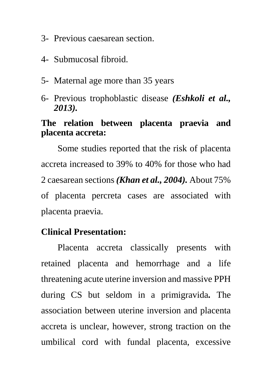- 3- Previous caesarean section.
- 4- Submucosal fibroid.
- 5- Maternal age more than 35 years
- 6- Previous trophoblastic disease *(Eshkoli et al., 2013).*

# **The relation between placenta praevia and placenta accreta:**

Some studies reported that the risk of placenta accreta increased to 39% to 40% for those who had 2 caesarean sections *(Khan et al., 2004).* About 75% of placenta percreta cases are associated with placenta praevia.

# **Clinical Presentation:**

Placenta accreta classically presents with retained placenta and hemorrhage and a life threatening acute uterine inversion and massive PPH during CS but seldom in a primigravida*.* The association between uterine inversion and placenta accreta is unclear, however, strong traction on the umbilical cord with fundal placenta, excessive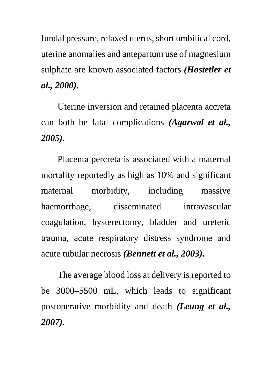fundal pressure, relaxed uterus, short umbilical cord, uterine anomalies and antepartum use of magnesium sulphate are known associated factors *(Hostetler et al., 2000).*

Uterine inversion and retained placenta accreta can both be fatal complications *(Agarwal et al., 2005).*

Placenta percreta is associated with a maternal mortality reportedly as high as 10% and significant maternal morbidity, including massive haemorrhage, disseminated intravascular coagulation, hysterectomy, bladder and ureteric trauma, acute respiratory distress syndrome and acute tubular necrosis *(Bennett et al., 2003).*

The average blood loss at delivery is reported to be 3000–5500 mL, which leads to significant postoperative morbidity and death *(Leung et al., 2007).*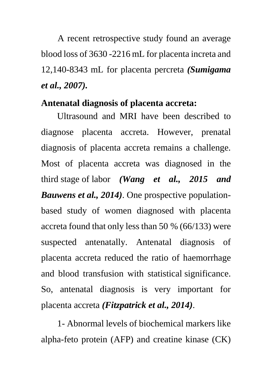A recent retrospective study found an average blood loss of 3630 -2216 mL for placenta increta and 12,140-8343 mL for placenta percreta *(Sumigama et al., 2007).*

#### **Antenatal diagnosis of placenta accreta:**

 Ultrasound and MRI have been described to diagnose placenta accreta. However, prenatal diagnosis of placenta accreta remains a challenge. Most of placenta accreta was diagnosed in the third stage of labor *(Wang et al., 2015 and Bauwens et al., 2014)*. One prospective populationbased study of women diagnosed with placenta accreta found that only less than 50 % (66/133) were suspected antenatally. Antenatal diagnosis of placenta accreta reduced the ratio of haemorrhage and blood transfusion with statistical significance. So, antenatal diagnosis is very important for placenta accreta *(Fitzpatrick et al., 2014)*.

1- Abnormal levels of biochemical markers like alpha-feto protein (AFP) and creatine kinase (CK)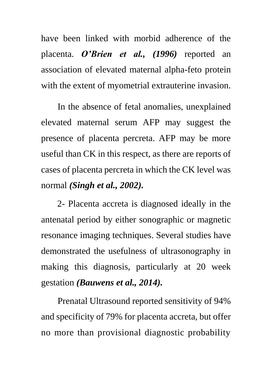have been linked with morbid adherence of the placenta. *O'Brien et al., (1996)* reported an association of elevated maternal alpha-feto protein with the extent of myometrial extrauterine invasion.

In the absence of fetal anomalies, unexplained elevated maternal serum AFP may suggest the presence of placenta percreta. AFP may be more useful than CK in this respect, as there are reports of cases of placenta percreta in which the CK level was normal *(Singh et al., 2002).*

2- Placenta accreta is diagnosed ideally in the antenatal period by either sonographic or magnetic resonance imaging techniques. Several studies have demonstrated the usefulness of ultrasonography in making this diagnosis, particularly at 20 week gestation *(Bauwens et al., 2014).*

Prenatal Ultrasound reported sensitivity of 94% and specificity of 79% for placenta accreta, but offer no more than provisional diagnostic probability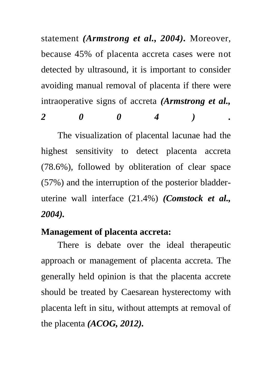statement *(Armstrong et al., 2004).* Moreover, because 45% of placenta accreta cases were not detected by ultrasound, it is important to consider avoiding manual removal of placenta if there were intraoperative signs of accreta *(Armstrong et al.,* 

*2 0 0 4 ) .*

The visualization of placental lacunae had the highest sensitivity to detect placenta accreta (78.6%), followed by obliteration of clear space (57%) and the interruption of the posterior bladderuterine wall interface (21.4%) *(Comstock et al., 2004).*

#### **Management of placenta accreta:**

There is debate over the ideal therapeutic approach or management of placenta accreta. The generally held opinion is that the placenta accrete should be treated by Caesarean hysterectomy with placenta left in situ, without attempts at removal of the placenta *(ACOG, 2012).*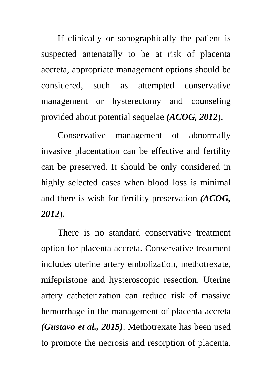If clinically or sonographically the patient is suspected antenatally to be at risk of placenta accreta, appropriate management options should be considered, such as attempted conservative management or hysterectomy and counseling provided about potential sequelae *(ACOG, 2012*).

Conservative management of abnormally invasive placentation can be effective and fertility can be preserved. It should be only considered in highly selected cases when blood loss is minimal and there is wish for fertility preservation *(ACOG, 2012*)*.*

There is no standard conservative treatment option for placenta accreta. Conservative treatment includes uterine artery embolization, methotrexate, mifepristone and hysteroscopic resection. Uterine artery catheterization can reduce risk of massive hemorrhage in the management of placenta accreta *(Gustavo et al., 2015)*. Methotrexate has been used to promote the necrosis and resorption of placenta.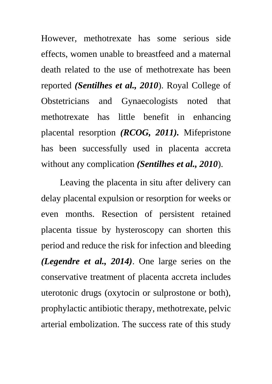However, methotrexate has some serious side effects, women unable to breastfeed and a maternal death related to the use of methotrexate has been reported *(Sentilhes et al., 2010*). Royal College of Obstetricians and Gynaecologists noted that methotrexate has little benefit in enhancing placental resorption *(RCOG, 2011).* Mifepristone has been successfully used in placenta accreta without any complication *(Sentilhes et al., 2010*).

Leaving the placenta in situ after delivery can delay placental expulsion or resorption for weeks or even months. Resection of persistent retained placenta tissue by hysteroscopy can shorten this period and reduce the risk for infection and bleeding *(Legendre et al., 2014)*. One large series on the conservative treatment of placenta accreta includes uterotonic drugs (oxytocin or sulprostone or both), prophylactic antibiotic therapy, methotrexate, pelvic arterial embolization. The success rate of this study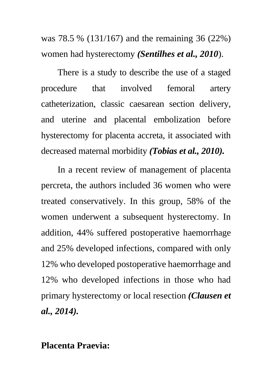was 78.5 % (131/167) and the remaining 36 (22%) women had hysterectomy *(Sentilhes et al., 2010*).

There is a study to describe the use of a staged procedure that involved femoral artery catheterization, classic caesarean section delivery, and uterine and placental embolization before hysterectomy for placenta accreta, it associated with decreased maternal morbidity *(Tobias et al., 2010).*

In a recent review of management of placenta percreta, the authors included 36 women who were treated conservatively. In this group, 58% of the women underwent a subsequent hysterectomy. In addition, 44% suffered postoperative haemorrhage and 25% developed infections, compared with only 12% who developed postoperative haemorrhage and 12% who developed infections in those who had primary hysterectomy or local resection *(Clausen et al., 2014).*

## **Placenta Praevia:**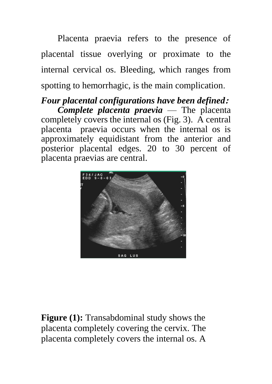Placenta praevia refers to the presence of placental tissue overlying or proximate to the internal cervical os. Bleeding, which ranges from spotting to hemorrhagic, is the main complication.

*Four placental configurations have been defined***:** *Complete placenta praevia* — The placenta completely covers the internal os (Fig. 3). A central placenta praevia occurs when the internal os is approximately equidistant from the anterior and posterior placental edges. 20 to 30 percent of placenta praevias are central.



**Figure (1):** Transabdominal study shows the placenta completely covering the cervix. The placenta completely covers the internal os. A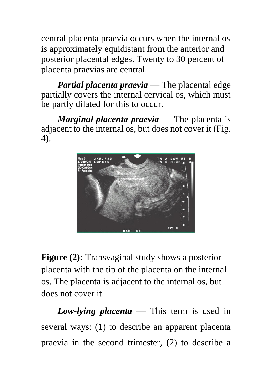central placenta praevia occurs when the internal os is approximately equidistant from the anterior and posterior placental edges. Twenty to 30 percent of placenta praevias are central.

*Partial placenta praevia* — The placental edge partially covers the internal cervical os, which must be partly dilated for this to occur.

*Marginal placenta praevia* — The placenta is adjacent to the internal os, but does not cover it (Fig. 4).



**Figure (2):** Transvaginal study shows a posterior placenta with the tip of the placenta on the internal os. The placenta is adjacent to the internal os, but does not cover it.

*Low-lying placenta* — This term is used in several ways: (1) to describe an apparent placenta praevia in the second trimester, (2) to describe a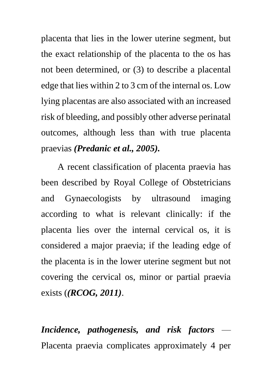placenta that lies in the lower uterine segment, but the exact relationship of the placenta to the os has not been determined, or (3) to describe a placental edge that lies within 2 to 3 cm of the internal os. Low lying placentas are also associated with an increased risk of bleeding, and possibly other adverse perinatal outcomes, although less than with true placenta praevias *(Predanic et al., 2005).*

A recent classification of placenta praevia has been described by Royal College of Obstetricians and Gynaecologists by ultrasound imaging according to what is relevant clinically: if the placenta lies over the internal cervical os, it is considered a major praevia; if the leading edge of the placenta is in the lower uterine segment but not covering the cervical os, minor or partial praevia exists (*(RCOG, 2011)*.

*Incidence, pathogenesis, and risk factors* — Placenta praevia complicates approximately 4 per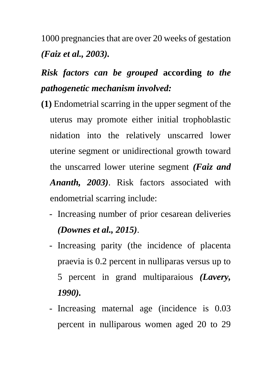1000 pregnancies that are over 20 weeks of gestation *(Faiz et al., 2003).*

# *Risk factors can be grouped* **according** *to the pathogenetic mechanism involved:*

- **(1)** Endometrial scarring in the upper segment of the uterus may promote either initial trophoblastic nidation into the relatively unscarred lower uterine segment or unidirectional growth toward the unscarred lower uterine segment *(Faiz and Ananth, 2003)*. Risk factors associated with endometrial scarring include:
	- Increasing number of prior cesarean deliveries *(Downes et al., 2015)*.
	- Increasing parity (the incidence of placenta praevia is 0.2 percent in nulliparas versus up to 5 percent in grand multiparaious *(Lavery, 1990).*
	- Increasing maternal age (incidence is 0.03 percent in nulliparous women aged 20 to 29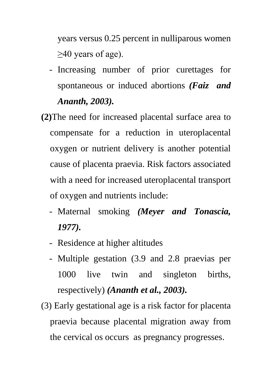years versus 0.25 percent in nulliparous women  $\geq$ 40 years of age).

- Increasing number of prior curettages for spontaneous or induced abortions *(Faiz and Ananth, 2003).*
- **(2)**The need for increased placental surface area to compensate for a reduction in uteroplacental oxygen or nutrient delivery is another potential cause of placenta praevia. Risk factors associated with a need for increased uteroplacental transport of oxygen and nutrients include:
	- Maternal smoking *(Meyer and Tonascia, 1977).*
	- Residence at higher altitudes
	- Multiple gestation (3.9 and 2.8 praevias per 1000 live twin and singleton births, respectively) *(Ananth et al., 2003).*
- (3) Early gestational age is a risk factor for placenta praevia because placental migration away from the cervical os occurs as pregnancy progresses.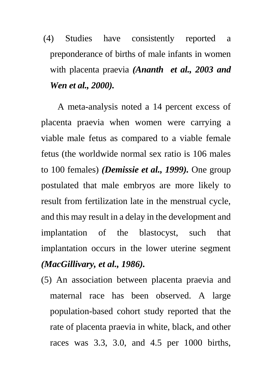# (4) Studies have consistently reported a preponderance of births of male infants in women with placenta praevia *(Ananth et al., 2003 and Wen et al., 2000).*

A meta-analysis noted a 14 percent excess of placenta praevia when women were carrying a viable male fetus as compared to a viable female fetus (the worldwide normal sex ratio is 106 males to 100 females) *(Demissie et al., 1999).* One group postulated that male embryos are more likely to result from fertilization late in the menstrual cycle, and this may result in a delay in the development and implantation of the blastocyst, such that implantation occurs in the lower uterine segment *(MacGillivary, et al., 1986).*

(5) An association between placenta praevia and maternal race has been observed. A large population-based cohort study reported that the rate of placenta praevia in white, black, and other races was 3.3, 3.0, and 4.5 per 1000 births,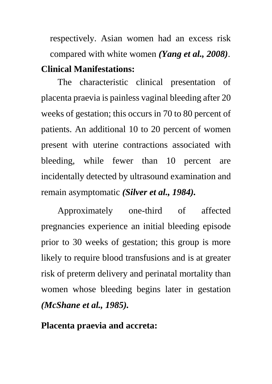respectively. Asian women had an excess risk compared with white women *(Yang et al., 2008)*. **Clinical Manifestations:**

The characteristic clinical presentation of placenta praevia is painless vaginal bleeding after 20 weeks of gestation; this occurs in 70 to 80 percent of patients. An additional 10 to 20 percent of women present with uterine contractions associated with bleeding, while fewer than 10 percent are incidentally detected by ultrasound examination and remain asymptomatic *(Silver et al., 1984).*

Approximately one-third of affected pregnancies experience an initial bleeding episode prior to 30 weeks of gestation; this group is more likely to require blood transfusions and is at greater risk of preterm delivery and perinatal mortality than women whose bleeding begins later in gestation *(McShane et al., 1985).* 

**Placenta praevia and accreta:**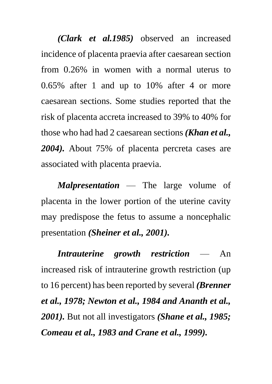*(Clark et al.1985)* observed an increased incidence of placenta praevia after caesarean section from 0.26% in women with a normal uterus to 0.65% after 1 and up to 10% after 4 or more caesarean sections. Some studies reported that the risk of placenta accreta increased to 39% to 40% for those who had had 2 caesarean sections *(Khan et al., 2004).* About 75% of placenta percreta cases are associated with placenta praevia.

*Malpresentation* — The large volume of placenta in the lower portion of the uterine cavity may predispose the fetus to assume a noncephalic presentation *(Sheiner et al., 2001).*

*Intrauterine growth restriction* — An increased risk of intrauterine growth restriction (up to 16 percent) has been reported by several *(Brenner et al., 1978; Newton et al., 1984 and Ananth et al., 2001).* But not all investigators *(Shane et al., 1985; Comeau et al., 1983 and Crane et al., 1999).*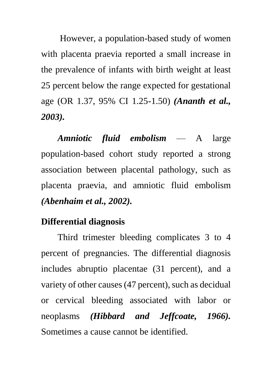However, a population-based study of women with placenta praevia reported a small increase in the prevalence of infants with birth weight at least 25 percent below the range expected for gestational age (OR 1.37, 95% CI 1.25-1.50) *(Ananth et al., 2003).*

*Amniotic fluid embolism* — A large population-based cohort study reported a strong association between placental pathology, such as placenta praevia, and amniotic fluid embolism *(Abenhaim et al., 2002).*

# **Differential diagnosis**

Third trimester bleeding complicates 3 to 4 percent of pregnancies. The differential diagnosis includes abruptio placentae (31 percent), and a variety of other causes (47 percent), such as decidual or cervical bleeding associated with labor or neoplasms *(Hibbard and Jeffcoate, 1966).* Sometimes a cause cannot be identified.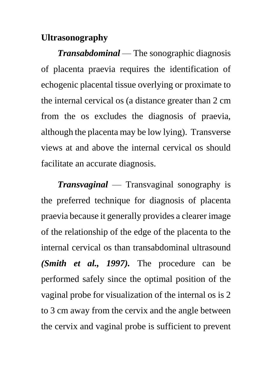# **Ultrasonography**

*Transabdominal* — The sonographic diagnosis of placenta praevia requires the identification of echogenic placental tissue overlying or proximate to the internal cervical os (a distance greater than 2 cm from the os excludes the diagnosis of praevia, although the placenta may be low lying). Transverse views at and above the internal cervical os should facilitate an accurate diagnosis.

*Transvaginal* — Transvaginal sonography is the preferred technique for diagnosis of placenta praevia because it generally provides a clearer image of the relationship of the edge of the placenta to the internal cervical os than transabdominal ultrasound *(Smith et al., 1997).* The procedure can be performed safely since the optimal position of the vaginal probe for visualization of the internal os is 2 to 3 cm away from the cervix and the angle between the cervix and vaginal probe is sufficient to prevent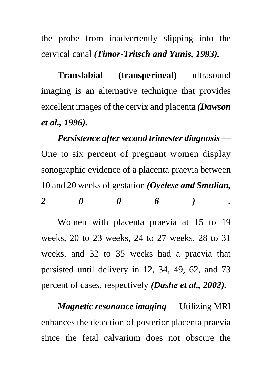the probe from inadvertently slipping into the cervical canal *(Timor-Tritsch and Yunis, 1993).*

**Translabial (transperineal)** ultrasound imaging is an alternative technique that provides excellent images of the cervix and placenta *(Dawson et al., 1996).*

*Persistence after second trimester diagnosis* — One to six percent of pregnant women display sonographic evidence of a placenta praevia between 10 and 20 weeks of gestation *(Oyelese and Smulian, 2 0 0 6 ) .*

Women with placenta praevia at 15 to 19 weeks, 20 to 23 weeks, 24 to 27 weeks, 28 to 31 weeks, and 32 to 35 weeks had a praevia that persisted until delivery in 12, 34, 49, 62, and 73 percent of cases, respectively *(Dashe et al., 2002).*

*Magnetic resonance imaging* — Utilizing MRI enhances the detection of posterior placenta praevia since the fetal calvarium does not obscure the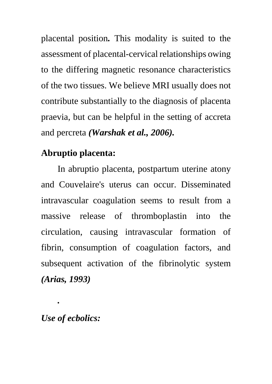placental position*.* This modality is suited to the assessment of placental-cervical relationships owing to the differing magnetic resonance characteristics of the two tissues. We believe MRI usually does not contribute substantially to the diagnosis of placenta praevia, but can be helpful in the setting of accreta and percreta *(Warshak et al., 2006).* 

# **Abruptio placenta:**

In abruptio placenta, postpartum uterine atony and Couvelaire's uterus can occur. Disseminated intravascular coagulation seems to result from a massive release of thromboplastin into the circulation, causing intravascular formation of fibrin, consumption of coagulation factors, and subsequent activation of the fibrinolytic system *(Arias, 1993)*

# *Use of ecbolics:*

*.*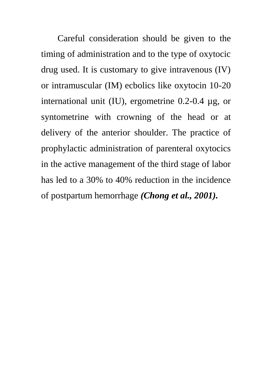Careful consideration should be given to the timing of administration and to the type of oxytocic drug used. It is customary to give intravenous (IV) or intramuscular (IM) ecbolics like oxytocin 10-20 international unit (IU), ergometrine 0.2-0.4 µg, or syntometrine with crowning of the head or at delivery of the anterior shoulder. The practice of prophylactic administration of parenteral oxytocics in the active management of the third stage of labor has led to a 30% to 40% reduction in the incidence of postpartum hemorrhage *(Chong et al., 2001).*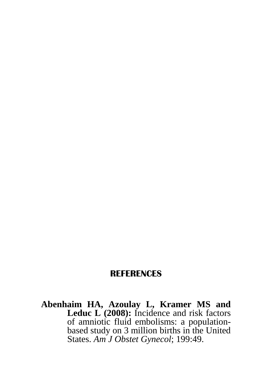#### **REFERENCES**

**Abenhaim HA, Azoulay L, Kramer MS and**  Leduc L (2008): Incidence and risk factors of amniotic fluid embolisms: a populationbased study on 3 million births in the United States. *Am J Obstet Gynecol*; 199:49.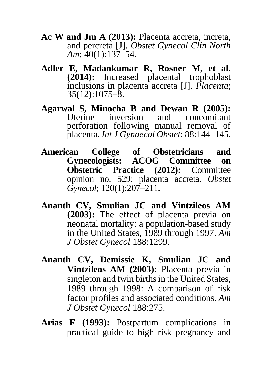- **Ac W and Jm A (2013):** Placenta accreta, increta, and percreta [J]. *Obstet Gynecol Clin North Am*; 40(1):137–54.
- **Adler E, Madankumar R, Rosner M, et al. (2014):** Increased placental trophoblast inclusions in placenta accreta [J]. *Placenta*;  $35(12):1075-\overline{8}$ .
- **Agarwal S, Minocha B and Dewan R (2005):** Uterine inversion and concomitant perforation following manual removal of placenta. *Int J Gynaecol Obstet*; 88:144–145.
- **American College of Obstetricians and Gynecologists: ACOG Committee on Obstetric Practice (2012):** Committee opinion no. 529: placenta accreta. *Obstet Gynecol*; 120(1):207–211**.**
- **Ananth CV, Smulian JC and Vintzileos AM (2003):** The effect of placenta previa on neonatal mortality: a population-based study in the United States, 1989 through 1997. *Am J Obstet Gynecol* 188:1299.
- **Ananth CV, Demissie K, Smulian JC and Vintzileos AM (2003):** Placenta previa in singleton and twin births in the United States, 1989 through 1998: A comparison of risk factor profiles and associated conditions. *Am J Obstet Gynecol* 188:275.
- **Arias F (1993):** Postpartum complications in practical guide to high risk pregnancy and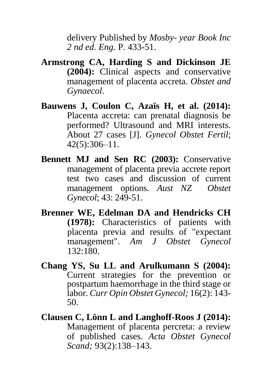delivery Published by *Mosby- year Book Inc 2 nd ed. Eng.* P. 433-51.

- **Armstrong CA, Harding S and Dickinson JE (2004):** Clinical aspects and conservative management of placenta accreta. *Obstet and Gynaecol*.
- **Bauwens J, Coulon C, Azaïs H, et al. (2014):**  Placenta accreta: can prenatal diagnosis be performed? Ultrasound and MRI interests. About 27 cases [J]. *Gynecol Obstet Fertil*; 42(5):306–11.
- **Bennett MJ and Sen RC (2003):** Conservative management of placenta previa accrete report test two cases and discussion of current management options. *Aust NZ Obstet Gynecol*; 43: 249-51.
- **Brenner WE, Edelman DA and Hendricks CH (1978):** Characteristics of patients with placenta previa and results of "expectant management". *Am J Obstet Gynecol* 132:180.
- **Chang YS, Su LL and Arulkumann S (2004):**  Current strategies for the prevention or postpartum haemorrhage in the third stage or labor. *Curr Opin Obstet Gynecol;* 16(2): 143- 50.
- **Clausen C, Lönn L and Langhoff-Roos J (2014):** Management of placenta percreta: a review of published cases. *Acta Obstet Gynecol Scand;* 93(2):138–143.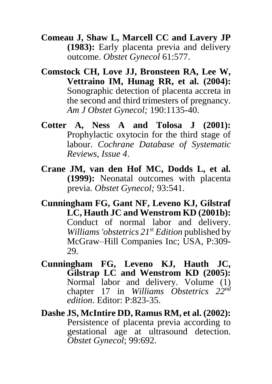**Comeau J, Shaw L, Marcell CC and Lavery JP (1983):** Early placenta previa and delivery outcome. *Obstet Gynecol* 61:577.

- **Comstock CH, Love JJ, Bronsteen RA, Lee W, Vettraino IM, Hunag RR, et al. (2004):** Sonographic detection of placenta accreta in the second and third trimesters of pregnancy. *Am J Obstet Gynecol;* 190:1135-40.
- **Cotter A, Ness A and Tolosa J (2001):** Prophylactic oxytocin for the third stage of labour. *Cochrane Database of Systematic Reviews, Issue 4*.
- **Crane JM, van den Hof MC, Dodds L, et al. (1999):** Neonatal outcomes with placenta previa. *Obstet Gynecol;* 93:541.
- **Cunningham FG, Gant NF, Leveno KJ, Gilstraf LC, Hauth JC and Wenstrom KD (2001b):**  Conduct of normal labor and delivery. *Williams 'obstetrics 21st Edition* published by McGraw–Hill Companies Inc; USA, P:309- 29.
- **Cunningham FG, Leveno KJ, Hauth JC, Gilstrap LC and Wenstrom KD (2005):**  Normal labor and delivery. Volume (1) chapter 17 in *Williams Obstetrics 22nd edition*. Editor: P:823-35.
- **Dashe JS, McIntire DD, Ramus RM, et al. (2002):** Persistence of placenta previa according to gestational age at ultrasound detection. *Obstet Gynecol*; 99:692.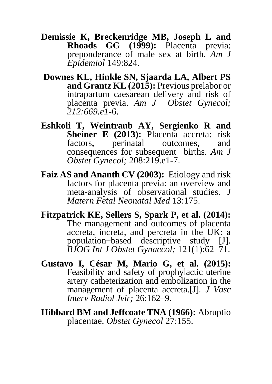**Demissie K, Breckenridge MB, Joseph L and Rhoads GG (1999):** Placenta previa: preponderance of male sex at birth. *Am J Epidemiol* 149:824.

- **[Downes KL, Hinkle SN, Sjaarda LA, Albert PS](http://refhub.elsevier.com/S0002-9378(15)00535-9/sref1) [and Grantz KL \(2015\):](http://refhub.elsevier.com/S0002-9378(15)00535-9/sref1)** Previous prelabor or [intrapartum caesarean delivery and risk of](http://refhub.elsevier.com/S0002-9378(15)00535-9/sref1)  [placenta previa.](http://refhub.elsevier.com/S0002-9378(15)00535-9/sref1) *Am J [Obstet Gynecol;](http://refhub.elsevier.com/S0002-9378(15)00535-9/sref1)  [212:669.e1-](http://refhub.elsevier.com/S0002-9378(15)00535-9/sref1)*6.
- **[Eshkoli T, Weintraub AY, Sergienko R](http://refhub.elsevier.com/S0002-9378(15)00535-9/sref2) and**  [Sheiner E \(2013\):](http://refhub.elsevier.com/S0002-9378(15)00535-9/sref2) Placenta accreta: risk factors**,** [perinatal](http://refhub.elsevier.com/S0002-9378(15)00535-9/sref2) [outcomes, and](http://refhub.elsevier.com/S0002-9378(15)00535-9/sref2)  [consequences for subsequent](http://refhub.elsevier.com/S0002-9378(15)00535-9/sref2) [births.](http://refhub.elsevier.com/S0002-9378(15)00535-9/sref2) *Am J [Obstet Gynecol;](http://refhub.elsevier.com/S0002-9378(15)00535-9/sref2)* 208:219.e1-7.
- **Faiz AS and Ananth CV (2003):** Etiology and risk factors for placenta previa: an overview and meta-analysis of observational studies. *J Matern Fetal Neonatal Med* 13:175.
- **Fitzpatrick KE, Sellers S, Spark P, et al. (2014):** The management and outcomes of placenta accreta, increta, and percreta in the UK: a population-based descriptive study [J]. *BJOG Int J Obstet Gynaecol;* 121(1):62–71.
- **Gustavo I, César M, Mario G, et al. (2015):** Feasibility and safety of prophylactic uterine artery catheterization and embolization in the management of placenta accreta.[J]. *J Vasc Interv Radiol Jvir;* 26:162–9.
- **Hibbard BM and Jeffcoate TNA (1966):** Abruptio placentae. *Obstet Gynecol* 27:155.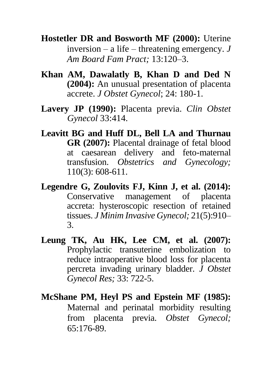**Hostetler DR and Bosworth MF (2000):** Uterine inversion – a life – threatening emergency. *J Am Board Fam Pract;* 13:120–3.

- **Khan AM, Dawalatly B, Khan D and Ded N (2004):** An unusual presentation of placenta accrete. *J Obstet Gynecol*; 24: 180-1.
- **Lavery JP (1990):** Placenta previa. *Clin Obstet Gynecol* 33:414.
- **Leavitt BG and Huff DL, Bell LA and Thurnau GR (2007):** Placental drainage of fetal blood at caesarean delivery and feto-maternal transfusion. *Obstetrics and Gynecology;* 110(3): 608-611.
- **Legendre G, Zoulovits FJ, Kinn J, et al. (2014):** Conservative management of placenta accreta: hysteroscopic resection of retained tissues. *J Minim Invasive Gynecol;* 21(5):910– 3.
- **Leung TK, Au HK, Lee CM, et al. (2007):** Prophylactic transuterine embolization to reduce intraoperative blood loss for placenta percreta invading urinary bladder. *J Obstet Gynecol Res;* 33: 722-5.
- **McShane PM, Heyl PS and Epstein MF (1985):**  Maternal and perinatal morbidity resulting from placenta previa. *Obstet Gynecol;* 65:176-89.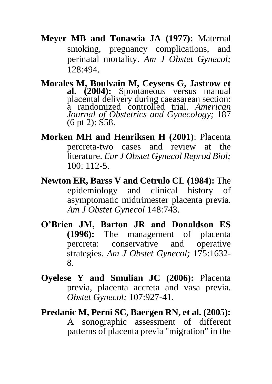- **Meyer MB and Tonascia JA (1977):** Maternal smoking, pregnancy complications, and perinatal mortality. *Am J Obstet Gynecol;* 128:494.
- **Morales M, Boulvain M, Ceysens G, Jastrow et al. (2004):** Spontaneous versus manual placental delivery during caeasarean section: a randomized controlled trial. *American Journal of Obstetrics and Gynecology;* 187 (6 pt 2): S58.
- **Morken MH and Henriksen H (2001)**: Placenta percreta-two cases and review at the literature. *Eur J Obstet Gynecol Reprod Biol;* 100: 112-5.
- **Newton ER, Barss V and Cetrulo CL (1984):** The epidemiology and clinical history of asymptomatic midtrimester placenta previa. *Am J Obstet Gynecol* 148:743.
- **O'Brien JM, Barton JR and Donaldson ES**<br>(1996): The management of placenta management of placenta percreta: conservative and operative strategies. *Am J Obstet Gynecol;* 175:1632- 8.
- **Oyelese Y and Smulian JC (2006):** Placenta previa, placenta accreta and vasa previa. *Obstet Gynecol;* 107:927-41.

**Predanic M, Perni SC, Baergen RN, et al. (2005):** A sonographic assessment of different patterns of placenta previa "migration" in the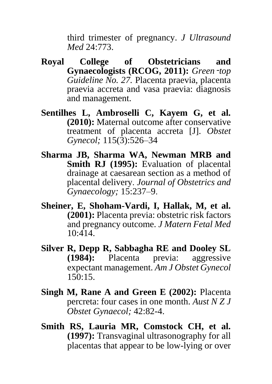third trimester of pregnancy. *J Ultrasound Med* 24:773.

- **Royal College of Obstetricians and Gynaecologists (RCOG, 2011):** *Green*‑*top Guideline No. 27.* Placenta praevia, placenta praevia accreta and vasa praevia: diagnosis and management.
- **Sentilhes L, Ambroselli C, Kayem G, et al. (2010):** Maternal outcome after conservative treatment of placenta accreta [J]. *Obstet Gynecol;* 115(3):526–34
- **Sharma JB, Sharma WA, Newman MRB and Smith RJ (1995):** Evaluation of placental drainage at caesarean section as a method of placental delivery. *Journal of Obstetrics and Gynaecology;* 15:237–9.
- **Sheiner, E, Shoham-Vardi, I, Hallak, M, et al. (2001):** Placenta previa: obstetric risk factors and pregnancy outcome. *J Matern Fetal Med*  10:414.
- **Silver R, Depp R, Sabbagha RE and Dooley SL (1984):** Placenta previa: aggressive expectant management. *Am J Obstet Gynecol* 150:15.
- **Singh M, Rane A and Green E (2002):** Placenta percreta: four cases in one month. *Aust N Z J Obstet Gynaecol;* 42:82-4.
- **Smith RS, Lauria MR, Comstock CH, et al. (1997):** Transvaginal ultrasonography for all placentas that appear to be low-lying or over